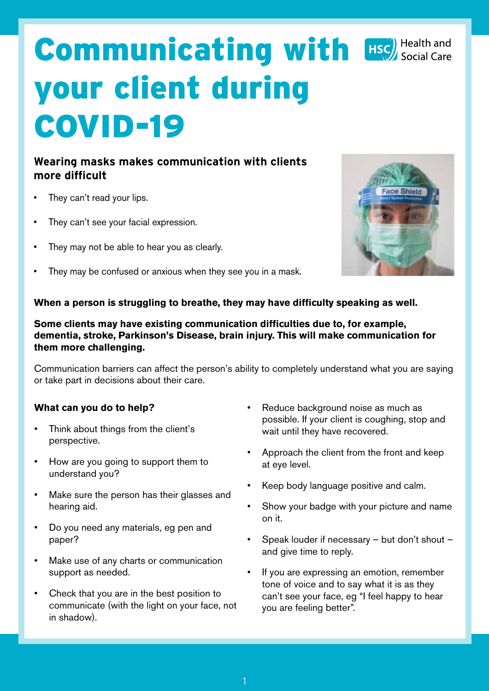# **Communicating with Exc) Health and** your client during COVID-19

# **Wearing masks makes communication with clients more difficult**

- They can't read your lips.
- They can't see your facial expression.
- They may not be able to hear you as clearly.
- They may be confused or anxious when they see you in a mask.



# **When a person is struggling to breathe, they may have difficulty speaking as well.**

#### **Some clients may have existing communication difficulties due to, for example, dementia, stroke, Parkinson's Disease, brain injury. This will make communication for them more challenging.**

Communication barriers can affect the person's ability to completely understand what you are saying or take part in decisions about their care.

# **What can you do to help?**

- Think about things from the client's perspective.
- How are you going to support them to understand you?
- Make sure the person has their glasses and hearing aid.
- Do you need any materials, eg pen and paper?
- Make use of any charts or communication support as needed.
- Check that you are in the best position to communicate (with the light on your face, not in shadow).
- Reduce background noise as much as possible. If your client is coughing, stop and wait until they have recovered.
- Approach the client from the front and keep at eye level.
- Keep body language positive and calm.
- Show your badge with your picture and name on it.
- Speak louder if necessary but don't shout and give time to reply.
- If you are expressing an emotion, remember tone of voice and to say what it is as they can't see your face, eg "I feel happy to hear you are feeling better".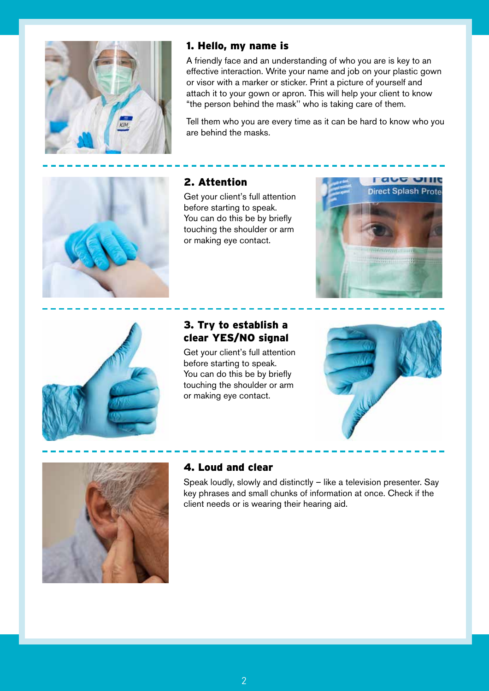

#### 1. Hello, my name is

A friendly face and an understanding of who you are is key to an effective interaction. Write your name and job on your plastic gown or visor with a marker or sticker. Print a picture of yourself and attach it to your gown or apron. This will help your client to know "the person behind the mask'' who is taking care of them.

Tell them who you are every time as it can be hard to know who you are behind the masks.



# 2. Attention

Get your client's full attention before starting to speak. You can do this be by briefly touching the shoulder or arm or making eye contact.





# 3. Try to establish a clear YES/NO signal

Get your client's full attention before starting to speak. You can do this be by briefly touching the shoulder or arm or making eye contact.





# 4. Loud and clear

Speak loudly, slowly and distinctly – like a television presenter. Say key phrases and small chunks of information at once. Check if the client needs or is wearing their hearing aid.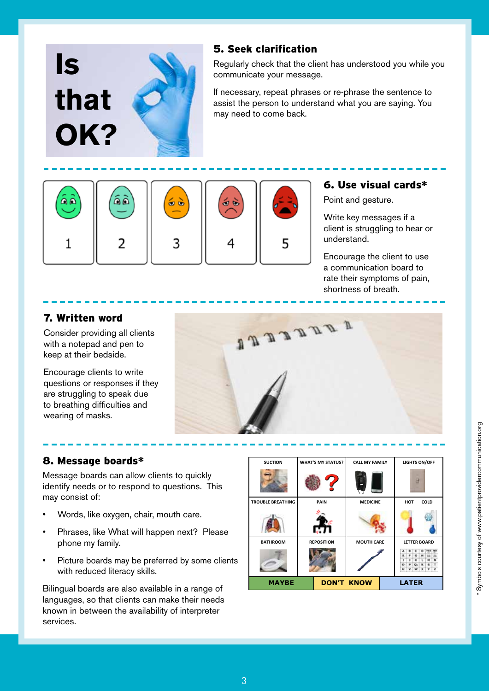

# 5. Seek clarification

Regularly check that the client has understood you while you communicate your message.

If necessary, repeat phrases or re-phrase the sentence to assist the person to understand what you are saying. You may need to come back.



#### 6. Use visual cards\*

Point and gesture.

Write key messages if a client is struggling to hear or understand.

Encourage the client to use a communication board to rate their symptoms of pain, shortness of breath.

# 7. Written word

Consider providing all clients with a notepad and pen to keep at their bedside.

Encourage clients to write questions or responses if they are struggling to speak due to breathing difficulties and wearing of masks.



# 8. Message boards\*

Message boards can allow clients to quickly identify needs or to respond to questions. This may consist of:

- Words, like oxygen, chair, mouth care.
- Phrases, like What will happen next? Please phone my family.
- Picture boards may be preferred by some clients with reduced literacy skills.

Bilingual boards are also available in a range of languages, so that clients can make their needs known in between the availability of interpreter services.

| <b>SUCTION</b>           | <b>WHAT'S MY STATUS?</b> | <b>CALL MY FAMILY</b> | <b>LIGHTS ON/OFF</b> |
|--------------------------|--------------------------|-----------------------|----------------------|
|                          |                          |                       |                      |
| <b>TROUBLE BREATHING</b> | PAIN                     | <b>MEDICINE</b>       | COLD<br>HOT          |
|                          |                          |                       |                      |
| <b>BATHROOM</b>          | <b>REPOSITION</b>        | <b>MOUTH CARE</b>     | <b>LETTER BOARD</b>  |
|                          |                          |                       |                      |
| <b>MAYBE</b>             |                          | <b>DON'T KNOW</b>     | <b>LATER</b>         |

3